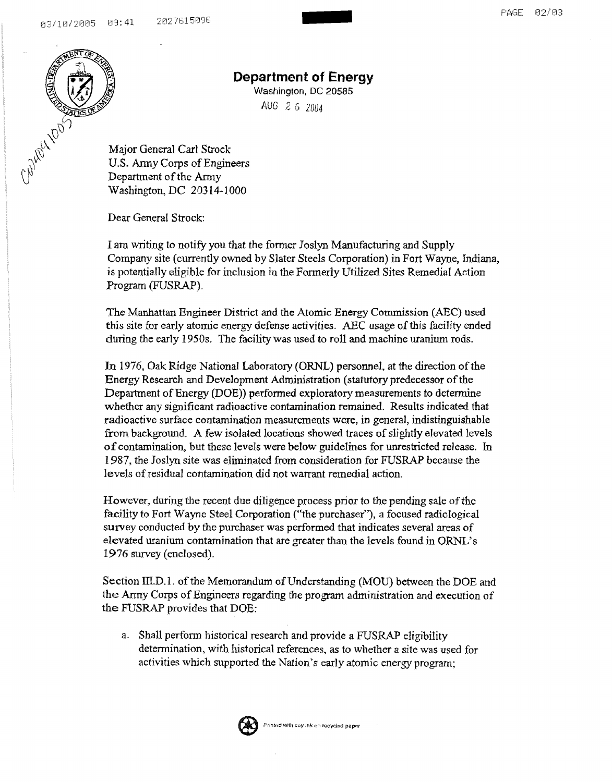

## **Department of Energy**

-

Washington, DC 20585 AUG 2 6 *2004* 

Major General Carl Strock U.S. Anny Corps of Engineers Department of the Army Washington, DC 20314-] 000

Dear General Strock:

I am writing to notifY you that the former Joslyn Manufacturing and Supply Company site (currently owned by Slater Steels Corporation) in Fort Wayne, Indiana, is potentially eligible for inclusion in the Formerly Utilized Sites Remedial Action Program (FUSRAP).

The Manhattan Engineer District and the Atomic Energy Commission (AEC) used this site for early atomic energy defense activities. ABC usage of this facility ended during the early 19508. The facility was used to roll and machine uranium rods.

**In** 1976, Oak Ridge National Laboratory (ORNL) personnel, at the direction of the Energy Research and Development Administration (statutory predecessor of the Department of Energy (DOE)) performed exploratory measurements to determine whether any significant radioactive contamination remained. Results indicated that radioactive surface contamination measurements were, in general, indistinguishable from background. A few isolated locations showed traces of slightly elevated levels of contamination. but these levels were below guidelines for unrestricted release. In 1987, the Joslyn site was eliminated from consideration for FUSRAP because the levels of residual contamination did not warrant remedial action.

However, during the recent due diligence process prior to the pending sale of the facility to Fort Wayne Steel Corporation ("the purchaser"), a focused radiological survey conducted by the purchaser was performed that indicates several areas of elevated uranium contamination that are greater than the levels found in ORNL's 1976 survey (enclosed).

Section  $III.D.1$ . of the Memorandum of Understanding (MOU) between the DOE and the Anny Corps of Engineers regarding the program administration and execution of the FUSRAP provides that DOE:

a. Shall perfonn historical research and provide a FUSRAP eligibility determination, with historical references, as to whether a site was used for activities which supported the Nation's early atomic energy program;